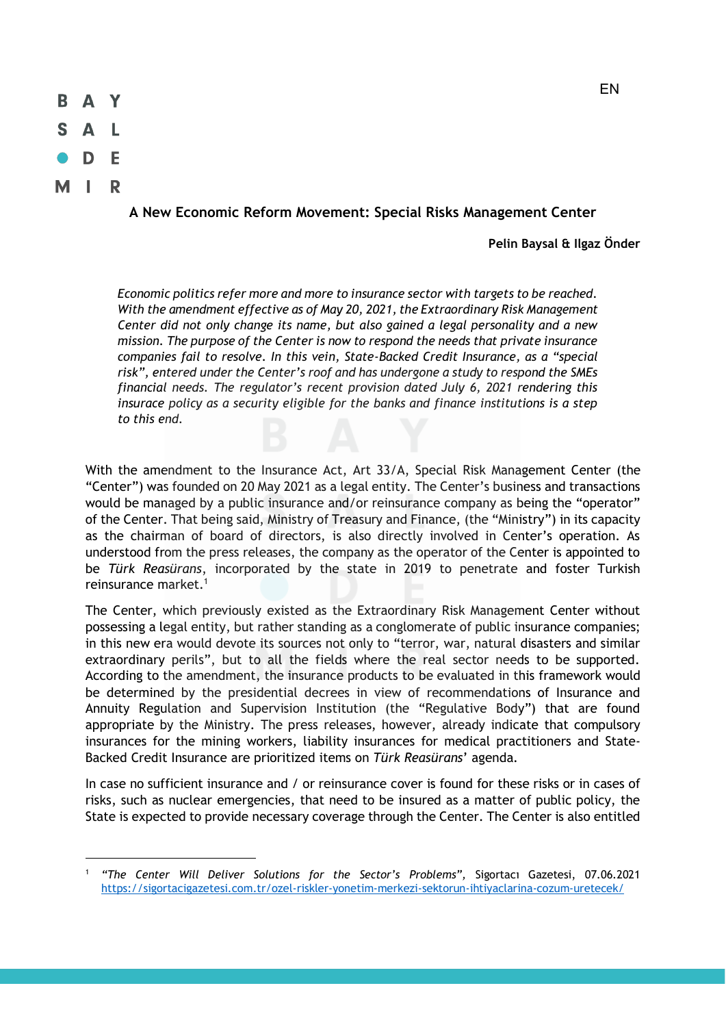

## **A New Economic Reform Movement: Special Risks Management Center**

**Pelin Baysal & Ilgaz Önder** 

*Economic politics refer more and more to insurance sector with targets to be reached. With the amendment effective as of May 20, 2021, the Extraordinary Risk Management Center did not only change its name, but also gained a legal personality and a new mission. The purpose of the Center is now to respond the needs that private insurance companies fail to resolve. In this vein, State-Backed Credit Insurance, as a "special risk", entered under the Center's roof and has undergone a study to respond the SMEs financial needs. The regulator's recent provision dated July 6, 2021 rendering this insurace policy as a security eligible for the banks and finance institutions is a step to this end.* 

With the amendment to the Insurance Act, Art 33/A, Special Risk Management Center (the "Center") was founded on 20 May 2021 as a legal entity. The Center's business and transactions would be managed by a public insurance and/or reinsurance company as being the "operator" of the Center. That being said, Ministry of Treasury and Finance, (the "Ministry") in its capacity as the chairman of board of directors, is also directly involved in Center's operation. As understood from the press releases, the company as the operator of the Center is appointed to be *Türk Reasürans*, incorporated by the state in 2019 to penetrate and foster Turkish reinsurance market.1

The Center, which previously existed as the Extraordinary Risk Management Center without possessing a legal entity, but rather standing as a conglomerate of public insurance companies; in this new era would devote its sources not only to "terror, war, natural disasters and similar extraordinary perils", but to all the fields where the real sector needs to be supported. According to the amendment, the insurance products to be evaluated in this framework would be determined by the presidential decrees in view of recommendations of Insurance and Annuity Regulation and Supervision Institution (the "Regulative Body") that are found appropriate by the Ministry. The press releases, however, already indicate that compulsory insurances for the mining workers, liability insurances for medical practitioners and State-Backed Credit Insurance are prioritized items on *Türk Reasürans*' agenda.

In case no sufficient insurance and / or reinsurance cover is found for these risks or in cases of risks, such as nuclear emergencies, that need to be insured as a matter of public policy, the State is expected to provide necessary coverage through the Center. The Center is also entitled

<sup>1</sup> *"The Center Will Deliver Solutions for the Sector's Problems",* Sigortacı Gazetesi, 07.06.2021 https://sigortacigazetesi.com.tr/ozel-riskler-yonetim-merkezi-sektorun-ihtiyaclarina-cozum-uretecek/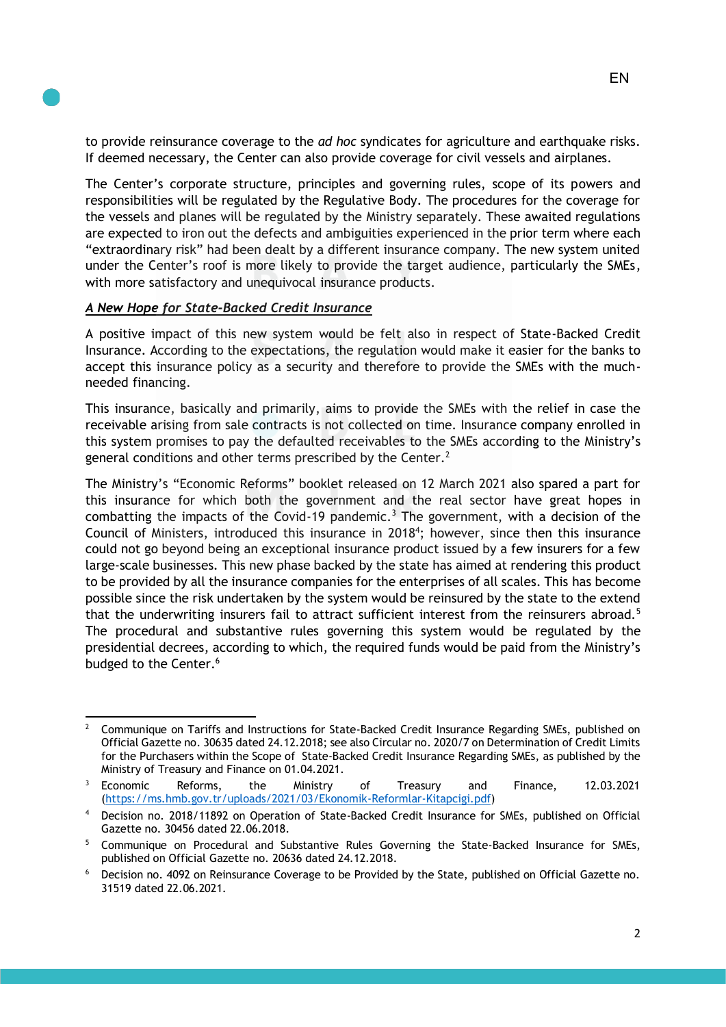to provide reinsurance coverage to the *ad hoc* syndicates for agriculture and earthquake risks.

The Center's corporate structure, principles and governing rules, scope of its powers and responsibilities will be regulated by the Regulative Body. The procedures for the coverage for the vessels and planes will be regulated by the Ministry separately. These awaited regulations are expected to iron out the defects and ambiguities experienced in the prior term where each "extraordinary risk" had been dealt by a different insurance company. The new system united under the Center's roof is more likely to provide the target audience, particularly the SMEs, with more satisfactory and unequivocal insurance products.

If deemed necessary, the Center can also provide coverage for civil vessels and airplanes.

## *A New Hope for State-Backed Credit Insurance*

A positive impact of this new system would be felt also in respect of State-Backed Credit Insurance. According to the expectations, the regulation would make it easier for the banks to accept this insurance policy as a security and therefore to provide the SMEs with the muchneeded financing.

This insurance, basically and primarily, aims to provide the SMEs with the relief in case the receivable arising from sale contracts is not collected on time. Insurance company enrolled in this system promises to pay the defaulted receivables to the SMEs according to the Ministry's general conditions and other terms prescribed by the Center.<sup>2</sup>

The Ministry's "Economic Reforms" booklet released on 12 March 2021 also spared a part for this insurance for which both the government and the real sector have great hopes in combatting the impacts of the Covid-19 pandemic.<sup>3</sup> The government, with a decision of the Council of Ministers, introduced this insurance in 2018<sup>4</sup>; however, since then this insurance could not go beyond being an exceptional insurance product issued by a few insurers for a few large-scale businesses. This new phase backed by the state has aimed at rendering this product to be provided by all the insurance companies for the enterprises of all scales. This has become possible since the risk undertaken by the system would be reinsured by the state to the extend that the underwriting insurers fail to attract sufficient interest from the reinsurers abroad.<sup>5</sup> The procedural and substantive rules governing this system would be regulated by the presidential decrees, according to which, the required funds would be paid from the Ministry's budged to the Center.<sup>6</sup>

<sup>&</sup>lt;sup>2</sup> Communique on Tariffs and Instructions for State-Backed Credit Insurance Regarding SMEs, published on Official Gazette no. 30635 dated 24.12.2018; see also Circular no. 2020/7 on Determination of Credit Limits for the Purchasers within the Scope of State-Backed Credit Insurance Regarding SMEs, as published by the Ministry of Treasury and Finance on 01.04.2021.

<sup>3</sup> Economic Reforms, the Ministry of Treasury and Finance, 12.03.2021 (https://ms.hmb.gov.tr/uploads/2021/03/Ekonomik-Reformlar-Kitapcigi.pdf)

Decision no. 2018/11892 on Operation of State-Backed Credit Insurance for SMEs, published on Official Gazette no. 30456 dated 22.06.2018.

<sup>5</sup> Communique on Procedural and Substantive Rules Governing the State-Backed Insurance for SMEs, published on Official Gazette no. 20636 dated 24.12.2018.

<sup>6</sup> Decision no. 4092 on Reinsurance Coverage to be Provided by the State, published on Official Gazette no. 31519 dated 22.06.2021.